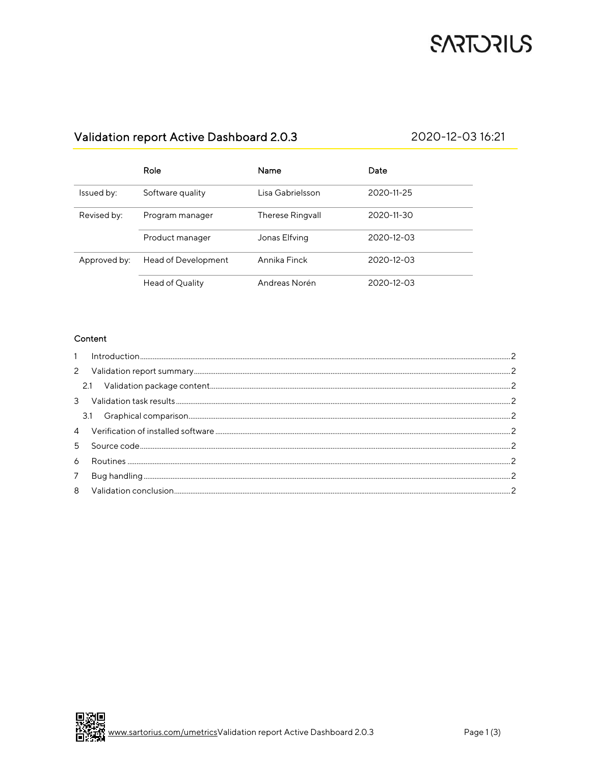## **SARTORIUS**

### Validation report Active Dashboard 2.0.3

#### 2020-12-03 16:21

|              | Role                | Name                    | Date             |
|--------------|---------------------|-------------------------|------------------|
| Issued by:   | Software quality    | Lisa Gabrielsson        | 2020-11-25       |
| Revised by:  | Program manager     | <b>Therese Ringvall</b> | 2020-11-30       |
|              | Product manager     | Jonas Elfving           | $2020 - 12 - 03$ |
| Approved by: | Head of Development | Annika Finck            | 2020-12-03       |
|              | Head of Quality     | Andreas Norén           | $2020 - 12 - 03$ |

#### Content

| 6 |  |
|---|--|
| 7 |  |
| 8 |  |
|   |  |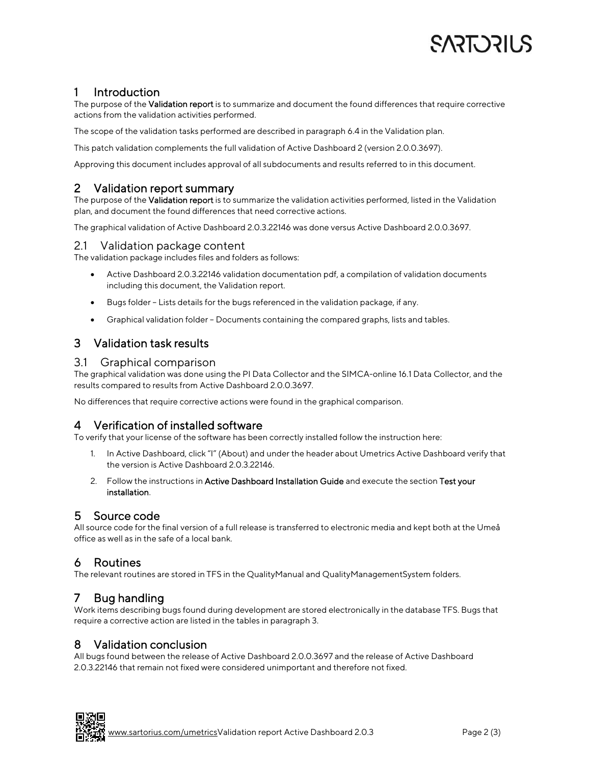# SART JRILS

### 1 Introduction

The purpose of the Validation report is to summarize and document the found differences that require corrective actions from the validation activities performed.

The scope of the validation tasks performed are described in paragraph 6.4 in the Validation plan.

This patch validation complements the full validation of Active Dashboard 2 (version 2.0.0.3697).

Approving this document includes approval of all subdocuments and results referred to in this document.

#### 2 Validation report summary

The purpose of the Validation report is to summarize the validation activities performed, listed in the Validation plan, and document the found differences that need corrective actions.

The graphical validation of Active Dashboard 2.0.3.22146 was done versus Active Dashboard 2.0.0.3697.

#### 2.1 Validation package content

The validation package includes files and folders as follows:

- Active Dashboard 2.0.3.22146 validation documentation pdf, a compilation of validation documents including this document, the Validation report.
- Bugs folder Lists details for the bugs referenced in the validation package, if any.
- Graphical validation folder Documents containing the compared graphs, lists and tables.

### 3 Validation task results

#### 3.1 Graphical comparison

The graphical validation was done using the PI Data Collector and the SIMCA-online 16.1 Data Collector, and the results compared to results from Active Dashboard 2.0.0.3697.

No differences that require corrective actions were found in the graphical comparison.

### 4 Verification of installed software

To verify that your license of the software has been correctly installed follow the instruction here:

- 1. In Active Dashboard, click "I" (About) and under the header about Umetrics Active Dashboard verify that the version is Active Dashboard 2.0.3.22146.
- 2. Follow the instructions in Active Dashboard Installation Guide and execute the section Test your installation*.*

#### 5 Source code

All source code for the final version of a full release is transferred to electronic media and kept both at the Umeå office as well as in the safe of a local bank.

#### 6 Routines

The relevant routines are stored in TFS in the QualityManual and QualityManagementSystem folders.

### 7 Bug handling

Work items describing bugs found during development are stored electronically in the database TFS. Bugs that require a corrective action are listed in the tables in paragraph 3.

#### 8 Validation conclusion

All bugs found between the release of Active Dashboard 2.0.0.3697 and the release of Active Dashboard 2.0.3.22146 that remain not fixed were considered unimportant and therefore not fixed.